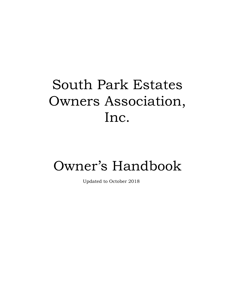# South Park Estates Owners Association, Inc.

# Owner's Handbook

Updated to October 2018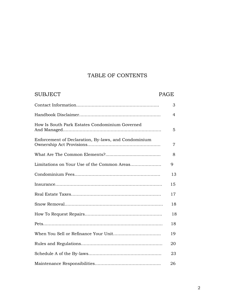### TABLE OF CONTENTS

| <b>SUBJECT</b>                                       | <b>PAGE</b> |
|------------------------------------------------------|-------------|
|                                                      | 3           |
|                                                      | 4           |
| How Is South Park Estates Condominium Governed       | 5           |
| Enforcement of Declaration, By-laws, and Condominium | 7           |
|                                                      | 8           |
| Limitations on Your Use of the Common Areas          | 9           |
|                                                      | 13          |
|                                                      | 15          |
|                                                      | 17          |
|                                                      | 18          |
|                                                      | 18          |
|                                                      | 18          |
|                                                      | 19          |
|                                                      | 20          |
|                                                      | 23          |
|                                                      | 26          |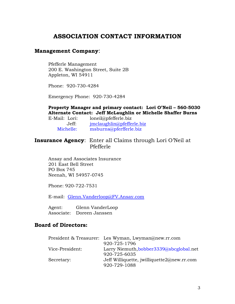### **ASSOCIATION CONTACT INFORMATION**

#### **Management Company**:

Pfefferle Management 200 E. Washington Street, Suite 2B Appleton, WI 54911

Phone: 920-730-4284

Emergency Phone: 920-730-4284

**Property Manager and primary contact: Lori O'Neil – 560-5030 Alternate Contact: Jeff McLaughlin or Michelle Shaffer Burns** E-Mail: Lori: loneil@pfefferle.biz

| L-Mall. Lull. | $I$ UILCII $(u)$ DICIICIIC. DIZ |
|---------------|---------------------------------|
| Jeff:         | imclaughlin@pfefferle,biz       |
| Michelle:     | msburns@pferfferle.biz          |

### **Insurance Agency**: Enter all Claims through Lori O'Neil at Pfefferle

Ansay and Associates Insurance 201 East Bell Street PO Box 745 Neenah, WI 54957-0745

Phone: 920-722-7531

E-mail: [Glenn.Vanderloop@FV.Ansay.com](mailto:Glenn.Vanderloop@FV.Ansay.com)

Agent: Glenn VanderLoop Associate: Doreen Janssen

### **Board of Directors:**

|                 | President & Treasurer: Les Wyman, Lwyman@new.rr.com |
|-----------------|-----------------------------------------------------|
|                 | 920-725-1796                                        |
| Vice-President: | Larry Niemuth, bobber 3339@sbcglobal.net            |
|                 | 920-725-6035                                        |
| Secretary:      | Jeff Williquette, jwilliquette2@new.rr.com          |
|                 | 920-729-1088                                        |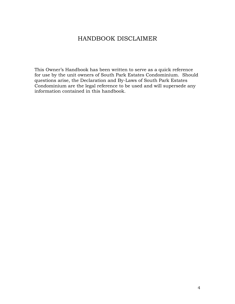## HANDBOOK DISCLAIMER

This Owner's Handbook has been written to serve as a quick reference for use by the unit owners of South Park Estates Condominium. Should questions arise, the Declaration and By-Laws of South Park Estates Condominium are the legal reference to be used and will supersede any information contained in this handbook.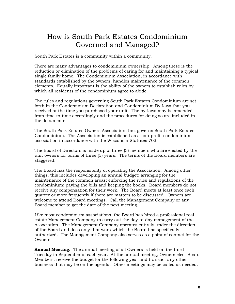# How is South Park Estates Condominium Governed and Managed?

South Park Estates is a community within a community.

There are many advantages to condominium ownership. Among these is the reduction or elimination of the problems of caring for and maintaining a typical single family home. The Condominium Association, in accordance with standards established by the owners, handles maintenance of the common elements. Equally important is the ability of the owners to establish rules by which all residents of the condominium agree to abide.

The rules and regulations governing South Park Estates Condominium are set forth in the Condominium Declaration and Condominium By-laws that you received at the time you purchased your unit. The by-laws may be amended from time-to-time accordingly and the procedures for doing so are included in the documents.

The South Park Estates Owners Association, Inc. governs South Park Estates Condominium. The Association is established as a non-profit condominium association in accordance with the Wisconsin Statutes 703.

The Board of Directors is made up of three (3) members who are elected by the unit owners for terms of three (3) years. The terms of the Board members are staggered.

The Board has the responsibility of operating the Association. Among other things, this includes developing an annual budget; arranging for the maintenance of the common areas; enforcing the rules and regulations of the condominium; paying the bills and keeping the books. Board members do not receive any compensation for their work. The Board meets at least once each quarter or more frequently if there are matters to be discussed. Owners are welcome to attend Board meetings. Call the Management Company or any Board member to get the date of the next meeting.

Like most condominium associations, the Board has hired a professional real estate Management Company to carry out the day-to-day management of the Association. The Management Company operates entirely under the direction of the Board and does only that work which the Board has specifically authorized. The Management Company also serves as a point of contact for the Owners.

**Annual Meeting.** The annual meeting of all Owners is held on the third Tuesday in September of each year. At the annual meeting, Owners elect Board Members, receive the budget for the following year and transact any other business that may be on the agenda. Other meetings may be called as needed.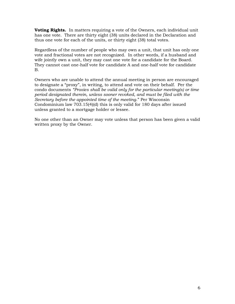**Voting Rights.** In matters requiring a vote of the Owners, each individual unit has one vote. There are thirty eight (38) units declared in the Declaration and thus one vote for each of the units, or thirty eight (38) total votes.

Regardless of the number of people who may own a unit, that unit has only one vote and fractional votes are not recognized. In other words, if a husband and wife jointly own a unit, they may cast one vote for a candidate for the Board. They cannot cast one-half vote for candidate A and one-half vote for candidate B.

Owners who are unable to attend the annual meeting in person are encouraged to designate a "proxy", in writing, to attend and vote on their behalf. Per the condo documents *"Proxies shall be valid only for the particular meeting(s) or time period designated therein, unless sooner revoked, and must be filed with the Secretary before the appointed time of the meeting*." Per Wisconsin Condominium law 703.15(4)(d) this is only valid for 180 days after issued unless granted to a mortgage holder or lessee.

No one other than an Owner may vote unless that person has been given a valid written proxy by the Owner.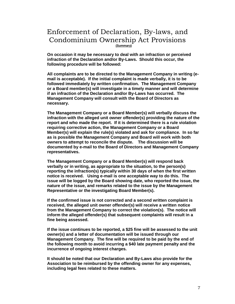### Enforcement of Declaration, By-laws, and Condominium Ownership Act Provisions **(Summary)**

**On occasion it may be necessary to deal with an infraction or perceived infraction of the Declaration and/or By-Laws. Should this occur, the following procedure will be followed:**

**All complaints are to be directed to the Management Company in writing (email is acceptable). If the initial complaint is made verbally, it is to be followed immediately by written confirmation. The Management Company or a Board member(s) will investigate in a timely manner and will determine if an infraction of the Declaration and/or By-Laws has occurred. The Management Company will consult with the Board of Directors as necessary.**

**The Management Company or a Board Member(s) will verbally discuss the infraction with the alleged unit owner offender(s) providing the nature of the report and who made the report. If it is determined there is a rule violation requiring corrective action, the Management Company or a Board Member(s) will explain the rule(s) violated and ask for compliance. In so far as is possible the Management Company and Board will work with both owners to attempt to reconcile the dispute. The discussion will be documented by e-mail to the Board of Directors and Management Company representatives.**

**The Management Company or a Board Member(s) will respond back verbally or in writing, as appropriate to the situation, to the person(s) reporting the infraction(s) typically within 30 days of when the first written notice is received. Using e-mail is one acceptable way to do this. The issue will be logged by the Board showing date, who reported the issue, the nature of the issue, and remarks related to the issue by the Management Representative or the investigating Board Member(s).**

**If the confirmed issue is not corrected and a second written complaint is received, the alleged unit owner offender(s) will receive a written notice from the Management Company to correct the violation(s). The notice will inform the alleged offender(s) that subsequent complaints will result in a fine being assessed.**

**If the issue continues to be reported, a \$25 fine will be assessed to the unit owner(s) and a letter of documentation will be issued through our Management Company. The fine will be required to be paid by the end of the following month to avoid incurring a \$40 late payment penalty and the incurrence of ongoing interest charges.** 

**It should be noted that our Declaration and By-Laws also provide for the Association to be reimbursed by the offending owner for any expenses, including legal fees related to these matters.**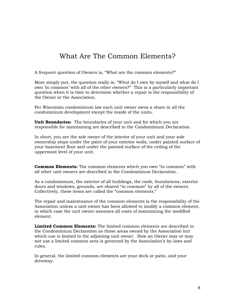# What Are The Common Elements?

A frequent question of Owners is, "What are the common elements?"

More simply put, the question really is, "What do I own by myself and what do I own 'in common' with all of the other owners?" This is a particularly important question when it is time to determine whether a repair is the responsibility of the Owner or the Association.

Per Wisconsin condominium law each unit owner owns a share in all the condominium development except the inside of the units.

**Unit Boundaries:** The boundaries of your unit and for which you are responsible for maintaining are described in the Condominium Declaration.

In short, you are the sole owner of the interior of your unit and your sole ownership stops under the paint of your exterior walls, under painted surface of your basement floor and under the painted surface of the ceiling of the uppermost level of your unit.

**Common Elements:** The common elements which you own "in common" with all other unit owners are described in the Condominium Declaration.

As a condominium, the exterior of all buildings, the roofs, foundations, exterior doors and windows, grounds, are shared "in common" by all of the owners. Collectively, these items are called the "common elements."

The repair and maintenance of the common elements is the responsibility of the Association unless a unit owner has been allowed to modify a common element, in which case the unit owner assumes all costs of maintaining the modified element.

**Limited Common Elements:** The limited common elements are described in the Condominium Declaration as those areas owned by the Association but which use is limited to the adjoining unit owner. How an Owner may or may not use a limited common area is governed by the Association's by-laws and rules.

In general, the limited common elements are your deck or patio, and your driveway.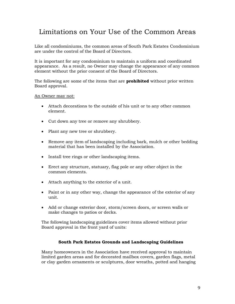# Limitations on Your Use of the Common Areas

Like all condominiums, the common areas of South Park Estates Condominium are under the control of the Board of Directors.

It is important for any condominium to maintain a uniform and coordinated appearance. As a result, no Owner may change the appearance of any common element without the prior consent of the Board of Directors.

The following are some of the items that are **prohibited** without prior written Board approval.

An Owner may not:

- Attach decorations to the outside of his unit or to any other common element.
- Cut down any tree or remove any shrubbery.
- Plant any new tree or shrubbery.
- Remove any item of landscaping including bark, mulch or other bedding material that has been installed by the Association.
- Install tree rings or other landscaping items.
- Erect any structure, statuary, flag pole or any other object in the common elements.
- Attach anything to the exterior of a unit.
- Paint or in any other way, change the appearance of the exterior of any unit.
- Add or change exterior door, storm/screen doors, or screen walls or make changes to patios or decks.

The following landscaping guidelines cover items allowed without prior Board approval in the front yard of units:

#### **South Park Estates Grounds and Landscaping Guidelines**

Many homeowners in the Association have received approval to maintain limited garden areas and for decorated mailbox covers, garden flags, metal or clay garden ornaments or sculptures, door wreaths, potted and hanging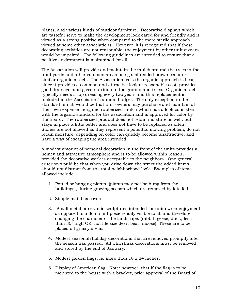plants, and various kinds of outdoor furniture. Decorative displays which are tasteful serve to make the development look cared for and friendly and is viewed as a strong positive when compared to the more sterile approach viewed at some other associations. However, it is recognized that if these decorating activities are not reasonable, the enjoyment by other unit owners would be impaired. The following guidelines are intended to ensure that a positive environment is maintained for all.

The Association will provide and maintain the mulch around the trees in the front yards and other common areas using a shredded brown cedar or similar organic mulch. The Association feels the organic approach is best since it provides a common and attractive look at reasonable cost, provides good drainage, and gives nutrition to the ground and trees. Organic mulch typically needs a top dressing every two years and this replacement is included in the Association's annual budget. The only exception to the standard mulch would be that unit owners may purchase and maintain at their own expense inorganic rubberized mulch which has a look consistent with the organic standard for the association and is approved for color by the Board. The rubberized product does not retain moisture as well, but stays in place a little better and does not have to be replaced as often. Stones are not allowed as they represent a potential mowing problem, do not retain moisture, depending on color can quickly become unattractive, and have a way of escaping the area intended.

A modest amount of personal decoration in the front of the units provides a homey and attractive atmosphere and is to be allowed within reason, provided the decorative work is acceptable to the neighbors. One general criterion would be that when you drive down the street the added items should not distract from the total neighborhood look. Examples of items allowed include:

- 1. Potted or hanging plants, (plants may not be hung from the buildings), during growing season which are removed by late fall.
- 2. Simple mail box covers.
- 3. Small metal or ceramic sculptures intended for unit owner enjoyment as opposed to a dominant piece readily visible to all and therefore changing the character of the landscape. (rabbit, geese, duck, less than 30" high OK; not life size deer, bear, moose) These are to be placed off grassy areas.
- 4. Modest seasonal/holiday decorations that are removed promptly after the season has passed. All Christmas decorations must be removed and stored by the end of January.
- 5. Modest garden flags, no more than 18 x 24 inches.
- 6. Display of American flag. Note: however, that if the flag is to be mounted to the house with a bracket, prior approval of the Board of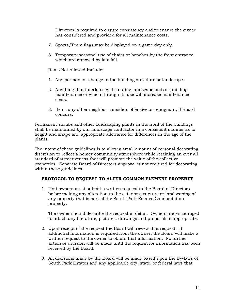Directors is required to ensure consistency and to ensure the owner has considered and provided for all maintenance costs.

- 7. Sports/Team flags may be displayed on a game day only.
- 8. Temporary seasonal use of chairs or benches by the front entrance which are removed by late fall.

#### Items Not Allowed Include:

- 1. Any permanent change to the building structure or landscape.
- 2. Anything that interferes with routine landscape and/or building maintenance or which through its use will increase maintenance costs.
- 3. Items any other neighbor considers offensive or repugnant, if Board concurs.

Permanent shrubs and other landscaping plants in the front of the buildings shall be maintained by our landscape contractor in a consistent manner as to height and shape and appropriate allowance for differences in the age of the plants.

The intent of these guidelines is to allow a small amount of personal decorating discretion to reflect a homey community atmosphere while retaining an over all standard of attractiveness that will promote the value of the collective properties. Separate Board of Directors approval is not required for decorating within these guidelines.

#### **PROTOCOL TO REQUEST TO ALTER COMMON ELEMENT PROPERTY**

1. Unit owners must submit a written request to the Board of Directors before making any alteration to the exterior structure or landscaping of any property that is part of the South Park Estates Condominium property.

The owner should describe the request in detail. Owners are encouraged to attach any literature, pictures, drawings and proposals if appropriate.

- 2. Upon receipt of the request the Board will review that request. If additional information is required from the owner, the Board will make a written request to the owner to obtain that information. No further action or decision will be made until the request for information has been received by the Board.
- 3. All decisions made by the Board will be made based upon the By-laws of South Park Estates and any applicable city, state, or federal laws that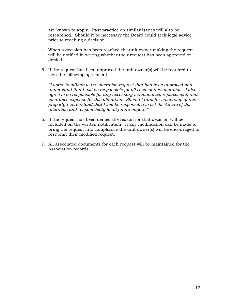are known to apply. Past practice on similar issues will also be researched. Should it be necessary the Board could seek legal advice prior to reaching a decision.

- 4. When a decision has been reached the unit owner making the request will be notified in writing whether their request has been approved or denied.
- 5. If the request has been approved the unit owner(s) will be required to sign the following agreement:

*"I agree to adhere to the alteration request that has been approved and understand that I will be responsible for all costs of this alteration. I also agree to be responsible for any necessary maintenance, replacement, and insurance expense for this alteration. Should I transfer ownership of this property I understand that I will be responsible to list disclosure of this alteration and responsibility to all future buyers."*

- 6. If the request has been denied the reason for that decision will be included on the written notification. If any modification can be made to bring the request into compliance the unit owner(s) will be encouraged to resubmit their modified request.
- 7. All associated documents for each request will be maintained for the Association records.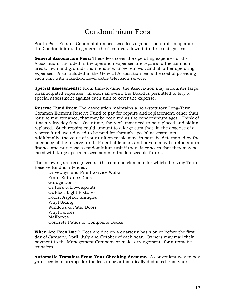# Condominium Fees

South Park Estates Condominium assesses fees against each unit to operate the Condominium. In general, the fees break down into three categories:

**General Association Fees:** These fees cover the operating expenses of the Association. Included in the operation expenses are repairs to the common areas, lawn and grounds maintenance, snow removal, and all other operating expenses. Also included in the General Association fee is the cost of providing each unit with Standard Level cable television service.

**Special Assessments:** From time-to-time, the Association may encounter large, unanticipated expenses. In such an event, the Board is permitted to levy a special assessment against each unit to cover the expense.

**Reserve Fund Fees:** The Association maintains a non-statutory Long-Term Common Element Reserve Fund to pay for repairs and replacement, other than routine maintenance, that may be required as the condominium ages. Think of it as a rainy day fund. Over time, the roofs may need to be replaced and siding replaced. Such repairs could amount to a large sum that, in the absence of a reserve fund, would need to be paid for through special assessments. Additionally, the value of your unit on resale may, in part, be determined by the adequacy of the reserve fund. Potential lenders and buyers may be reluctant to finance and purchase a condominium unit if there is concern that they may be faced with large special assessments in the foreseeable future.

The following are recognized as the common elements for which the Long Term Reserve fund is intended:

Driveways and Front Service Walks Front Entrance Doors Garage Doors Gutters & Downspouts Outdoor Light Fixtures Roofs, Asphalt Shingles Vinyl Siding Windows & Patio Doors Vinyl Fences Mailboxes Concrete Patios or Composite Decks

**When Are Fees Due?** Fees are due on a quarterly basis on or before the first day of January, April, July and October of each year. Owners may mail their payment to the Management Company or make arrangements for automatic transfers.

**Automatic Transfers From Your Checking Account.** A convenient way to pay your fees is to arrange for the fees to be automatically deducted from your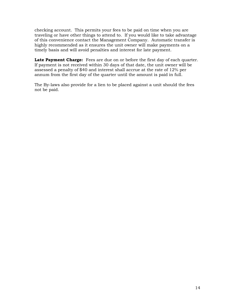checking account. This permits your fees to be paid on time when you are traveling or have other things to attend to. If you would like to take advantage of this convenience contact the Management Company. Automatic transfer is highly recommended as it ensures the unit owner will make payments on a timely basis and will avoid penalties and interest for late payment.

Late Payment Charge: Fees are due on or before the first day of each quarter. If payment is not received within 30 days of that date, the unit owner will be assessed a penalty of \$40 and interest shall accrue at the rate of 12% per annum from the first day of the quarter until the amount is paid in full.

The By-laws also provide for a lien to be placed against a unit should the fees not be paid.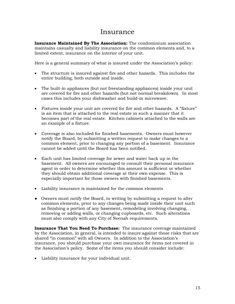### Insurance

**Insurance Maintained By The Association:** The condominium association maintains casualty and liability insurance on the common elements and, to a limited extent, insurance on the interior of your unit.

Here is a general summary of what is insured under the Association's policy:

- The structure is insured against fire and other hazards. This includes the entire building, both outside and inside.
- The built-in appliances (but not freestanding appliances) inside your unit are covered for fire and other hazards (but not normal breakdown). In most cases this includes your dishwasher and build-in microwave.
- Fixtures inside your unit are covered for fire and other hazards. A "fixture" is an item that is attached to the real estate in such a manner that it becomes part of the real estate. Kitchen cabinets attached to the walls are an example of a fixture.
- Coverage is also included for finished basements. Owners must however notify the Board, by submitting a written request to make changes to a common element, prior to changing any portion of a basement. Insurance cannot be added until the Board has been notified.
- Each unit has limited coverage for sewer and water back up in the basement. All owners are encouraged to consult their personal insurance agent in order to determine whether this amount is sufficient or whether they should obtain additional coverage at their own expense. This is especially important for those owners with finished basements.
- Liability insurance is maintained for the common elements
- Owners must notify the Board, in writing by submitting a request to alter common elements, prior to any changes being made inside their unit such as finishing a portion of any basement, remodeling involving changing, removing or adding walls, or changing cupboards, etc. Such alterations must also comply with any City of Neenah requirements.

**Insurance That You Need To Purchase:** The insurance coverage maintained by the Association, in general, is intended to insure against those risks that are shared "in common" with all Owners. In addition to the Association's insurance, you should purchase your own insurance for items not covered in the Association's policy. Some of the items you should consider include:

Liability insurance for your individual unit.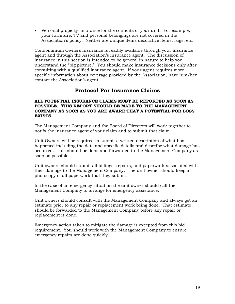Personal property insurance for the contents of your unit. For example, your furniture, TV and personal belongings are not covered in the Association's policy. Neither are unique items decorative items, rugs, etc.

Condominium Owners Insurance is readily available through your insurance agent and through the Association's insurance agent. The discussion of insurance in this section is intended to be general in nature to help you understand the "big picture." You should make insurance decisions only after consulting with a qualified insurance agent. If your agent requires more specific information about coverage provided by the Association, have him/her contact the Association's agent.

### **Protocol For Insurance Claims**

#### **ALL POTENTIAL INSURANCE CLAIMS MUST BE REPORTED AS SOON AS POSSIBLE. THIS REPORT SHOULD BE MADE TO THE MANAGEMENT COMPANY AS SOON AS YOU ARE AWARE THAT A POTENTIAL FOR LOSS EXISTS.**

The Management Company and the Board of Directors will work together to notify the insurance agent of your claim and to submit that claim.

Unit Owners will be required to submit a written description of what has happened including the date and specific details and describe what damage has occurred. This should be done and forwarded to the Management Company as soon as possible.

Unit owners should submit all billings, reports, and paperwork associated with their damage to the Management Company. The unit owner should keep a photocopy of all paperwork that they submit.

In the case of an emergency situation the unit owner should call the Management Company to arrange for emergency assistance.

Unit owners should consult with the Management Company and always get an estimate prior to any repair or replacement work being done. That estimate should be forwarded to the Management Company before any repair or replacement is done.

Emergency action taken to mitigate the damage is excepted from this bid requirement. You should work with the Management Company to ensure emergency repairs are done quickly.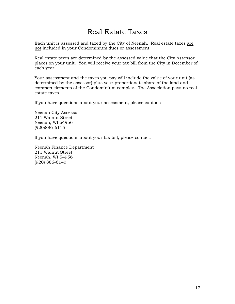# Real Estate Taxes

Each unit is assessed and taxed by the City of Neenah. Real estate taxes are not included in your Condominium dues or assessment.

Real estate taxes are determined by the assessed value that the City Assessor places on your unit. You will receive your tax bill from the City in December of each year.

Your assessment and the taxes you pay will include the value of your unit (as determined by the assessor) plus your proportionate share of the land and common elements of the Condominium complex. The Association pays no real estate taxes.

If you have questions about your assessment, please contact:

Neenah City Assessor 211 Walnut Street Neenah, WI 54956 (920)886-6115

If you have questions about your tax bill, please contact:

Neenah Finance Department 211 Walnut Street Neenah, WI 54956 (920) 886-6140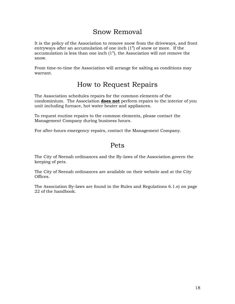# Snow Removal

It is the policy of the Association to remove snow from the driveways, and front entryways after an accumulation of one inch (1") of snow or more. If the accumulation is less than one inch (1"), the Association will not remove the snow.

From time-to-time the Association will arrange for salting as conditions may warrant.

# How to Request Repairs

The Association schedules repairs for the common elements of the condominium. The Association **does not** perform repairs to the interior of you unit including furnace, hot water heater and appliances.

To request routine repairs to the common elements, please contact the Management Company during business hours.

For after-hours emergency repairs, contact the Management Company.

## Pets

The City of Neenah ordinances and the By-laws of the Association govern the keeping of pets.

The City of Neenah ordinances are available on their website and at the City Offices.

The Association By-laws are found in the Rules and Regulations 6.1.e) on page 22 of the handbook.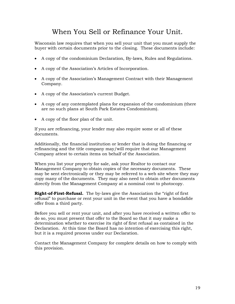# When You Sell or Refinance Your Unit.

Wisconsin law requires that when you sell your unit that you must supply the buyer with certain documents prior to the closing. These documents include:

- A copy of the condominium Declaration, By-laws, Rules and Regulations.
- A copy of the Association's Articles of Incorporation.
- A copy of the Association's Management Contract with their Management Company.
- A copy of the Association's current Budget.
- A copy of any contemplated plans for expansion of the condominium (there are no such plans at South Park Estates Condominium).
- A copy of the floor plan of the unit.

If you are refinancing, your lender may also require some or all of these documents.

Additionally, the financial institution or lender that is doing the financing or refinancing and the title company may/will require that our Management Company attest to certain items on behalf of the Association.

When you list your property for sale, ask your Realtor to contact our Management Company to obtain copies of the necessary documents. These may be sent electronically or they may be referred to a web site where they may copy many of the documents. They may also need to obtain other documents directly from the Management Company at a nominal cost to photocopy.

**Right-of-First-Refusal.** The by-laws give the Association the "right of first refusal" to purchase or rent your unit in the event that you have a bondafide offer from a third party.

Before you sell or rent your unit, and after you have received a written offer to do so, you must present that offer to the Board so that it may make a determination whether to exercise its right of first refusal as contained in the Declaration. At this time the Board has no intention of exercising this right, but it is a required process under our Declaration.

Contact the Management Company for complete details on how to comply with this provision.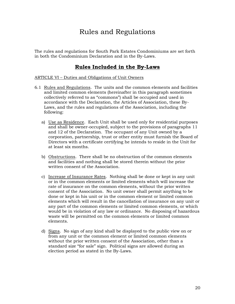# Rules and Regulations

The rules and regulations for South Park Estates Condominiums are set forth in both the Condominium Declaration and in the By-Laws.

### **Rules Included in the By-Laws**

#### ARTICLE VI – Duties and Obligations of Unit Owners

- 6.1 Rules and Regulations. The units and the common elements and facilities and limited common elements (hereinafter in this paragraph sometimes collectively referred to as "commons") shall be occupied and used in accordance with the Declaration, the Articles of Association, these By-Laws, and the rules and regulations of the Association, including the following:
	- a) Use as Residence. Each Unit shall be used only for residential purposes and shall be owner-occupied, subject to the provisions of paragraphs 11 and 12 of the Declaration. The occupant of any Unit owned by a corporation, partnership, trust or other entity must furnish the Board of Directors with a certificate certifying he intends to reside in the Unit for at least six months.
	- b) Obstructions. There shall be no obstruction of the common elements and facilities and nothing shall be stored therein without the prior written consent of the Association.
	- c) Increase of Insurance Rates. Nothing shall be done or kept in any unit or in the common elements or limited elements which will increase the rate of insurance on the common elements, without the prior written consent of the Association. No unit owner shall permit anything to be done or kept in his unit or in the common element or limited common elements which will result in the cancellation of insurance on any unit or any part of the common elements or limited common elements, or which would be in violation of any law or ordinance. No disposing of hazardous waste will be permitted on the common elements or limited common elements.
	- d) Signs. No sign of any kind shall be displayed to the public view on or from any unit or the common element or limited common elements without the prior written consent of the Association, other than a standard size "for sale" sign. Political signs are allowed during an election period as stated in the By-Laws.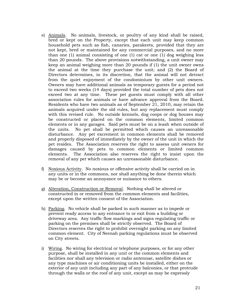- e) Animals. No animals, livestock, or poultry of any kind shall be raised, bred or kept on the Property, except that each unit may keep common household pets such as fish, canaries, parakeets, provided that they are not kept, bred or maintained for any commercial purposes, and no more than one (1) animal consisting of one (1) cat or one (1) dog weighing less than 20 pounds. The above provisions notwithstanding, a unit owner may keep an animal weighing more than 20 pounds if (1) the unit owner owns the animal at the time they purchase the unit; and (2) the Board of Directors determines, in its discretion, that the animal will not detract from the quiet enjoyment of the condominium by other unit owners. Owners may have additional animals as temporary guests for a period not to exceed two weeks (14 days) provided the total number of pets does not exceed two at any time. These pet guests must comply with all other association rules for animals or have advance approval from the Board. Residents who have two animals as of September 21, 2010, may retain the animals acquired under the old rules, but any replacement must comply with this revised rule. No outside kennels, dog coops or dog houses may be constructed or placed on the common elements, limited common elements or in any garages. Said pets must be on a leash when outside of the units. No pet shall be permitted which causes an unreasonable disturbance. Any pet excrement in common elements shall be removed and properly disposed of immediately by the owner of the unit in which the pet resides. The Association reserves the right to assess unit owners for damages caused by pets to common elements or limited common elements. The Association also reserves the right to insist upon the removal of any pet which causes an unreasonable disturbance.
- f) Noxious Activity. No noxious or offensive activity shall be carried on in any units or in the commons, nor shall anything be done therein which may be or become an annoyance or nuisance to others.
- g) Alteration, Construction or Removal. Nothing shall be altered or constructed in or removed from the common elements and facilities, except upon the written consent of the Association.
- h) Parking. No vehicle shall be parked in such manner as to impede or prevent ready access to any entrance to or exit from a building or driveway area. Any traffic flow markings and signs regulating traffic or parking on the premises shall be strictly observed. The Board of Directors reserves the right to prohibit overnight parking on any limited common element. City of Neenah parking regulations must be observed on City streets.
- i) Wiring. No wiring for electrical or telephone purposes, or for any other purpose, shall be installed in any unit or the common elements and facilities nor shall any television or radio antennae, satellite dishes or any type machines or air conditioning units be installed, either on the exterior of any unit including any part of any balconies, or that protrude through the walls or the roof of any unit, except as may be expressly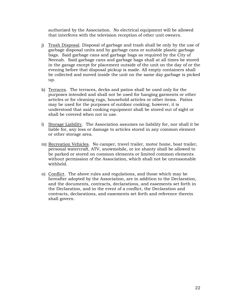authorized by the Association. No electrical equipment will be allowed that interferes with the television reception of other unit owners.

- j) Trash Disposal. Disposal of garbage and trash shall be only by the use of garbage disposal units and by garbage cans or suitable plastic garbage bags. Said garbage cans and garbage bags as required by the City of Neenah. Said garbage cans and garbage bags shall at all times be stored in the garage except for placement outside of the unit on the day of or the evening before that disposal pickup is made. All empty containers shall be collected and moved inside the unit on the same day garbage is picked up.
- k) Terraces. The terraces, decks and patios shall be used only for the purposes intended and shall not be used for hanging garments or other articles or for cleaning rugs, household articles or other items. Patios may be used for the purposes of outdoor cooking; however, it is understood that said cooking equipment shall be stored out of sight or shall be covered when not in use.
- l) Storage Liability. The Association assumes no liability for, nor shall it be liable for, any loss or damage to articles stored in any common element or other storage area.
- m) Recreation Vehicles. No camper, travel trailer, motor home, boat trailer, personal watercraft, ATV, snowmobile, or ice shanty shall be allowed to be parked or stored on common elements or limited common elements without permission of the Association, which shall not be unreasonable withheld.
- n) Conflict. The above rules and regulations, and those which may be hereafter adopted by the Association, are in addition to the Declaration, and the documents, contracts, declarations, and easements set forth in the Declaration, and in the event of a conflict, the Declaration and contracts, declarations, and easements set forth and reference therein shall govern.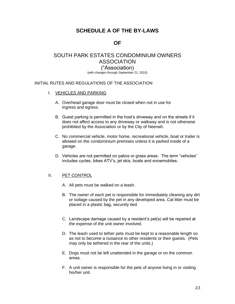### **SCHEDULE A OF THE BY-LAWS**

### **OF**

### SOUTH PARK ESTATES CONDOMINIUM OWNERS ASSOCIATION ("Association) (with changes through September 21, 2010)

#### INITIAL RUTES AND REGULATIONS OF THE ASSOCIATION

- l. VEHICLES AND PARKING
	- A. Overhead garage door must be closed when not in use for ingress and egress.
	- B. Guest parking is permitted in the host's driveway and on the streets if it does not affect access to any driveway or walkway and is not otherwise prohibited by the Association or by the City of Neenah.
	- C. No commercial vehicle, motor home, recreational vehicle, boat or trailer is allowed on the condominium premises unless it is parked inside of a garage.
	- D. Vehicles are not permitted on patios or grass areas. The term "vehicles" includes cycles, bikes ATV's, jet skis, boats and snowmobiles.

#### II. PET CONTROL

- A. All pets must be walked on a leash.
- B. The owner of each pet is responsible for immediately cleaning any dirt or soilage caused by the pet in any developed area. Cat litter must be placed in a plastic bag, securely tied.
- C. Landscape damage caused by a resident's pet(s) will be repaired at the expense of the unit owner involved.
- D. The leash used to tether pets must be kept to a reasonable length so as not to become a nuisance to other residents or their guests. (Pets may only be tethered in the rear of the units.)
- E. Dogs must not be left unattended in the garage or on the common areas.
- F. A unit owner is responsible for the pets of anyone living in or visiting his/her unit.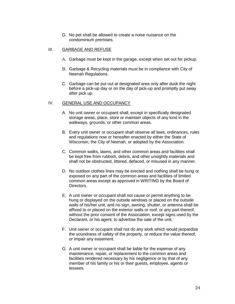G. No pet shall be allowed to create a noise nuisance on the condominium premises.

#### III. GARBAGE AND REFUSE

- A. Garbage must be kept in the garage, except when set out for pickup.
- B. Garbage & Recycling materials must be in compliance with City of Neenah Regulations.
- C. Garbage can be put out at designated area only after dusk the night before a pick-up day or on the day of pick-up and promptly put away after pick up.

#### IV. GENERAL USE AND OCCUPANCY

- A. No unit owner or occupant shall, except in specifically designated storage areas, place, store or maintain objects of any kind in the walkways, grounds, or other common areas.
- B. Every unit owner or occupant shall observe all laws, ordinances, rules and regulations now or hereafter enacted by either the State of Wisconsin, the City of Neenah, or adopted by the Association.
- C. Common walks, lawns, and other common areas and facilities shall be kept free from rubbish, debris, and other unsightly materials and shall not be obstructed, littered, defaced, or misused in any manner.
- D. No outdoor clothes lines may be erected and nothing shall be hung or exposed on any part of the common areas and facilities of limited common areas except as approved in WRITING by the Board of Directors.
- E. A unit owner or occupant shall not cause or permit anything to be hung or displayed on the outside windows or placed on the outside walls of his/her unit, and no sign, awning, shutter, or antenna shall be affixed to or placed on the exterior walls or roof, or any part thereof, without the prior consent of the Association, except signs used by the Declarant, or his agent, to advertise the sale of the unit.
- F. Unit owner or occupant shall not do any work which would jeopardize the soundness of safety of the property, or reduce the value thereof, or impair any easement.
- G. A unit owner or occupant shall be liable for the expense of any maintenance, repair, or replacement to the common areas and facilities rendered necessary by his negligence or by that of any member of his family or his or their guests, employee, agents or lessees.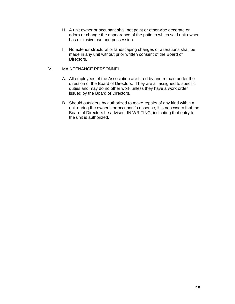- H. A unit owner or occupant shall not paint or otherwise decorate or adorn or change the appearance of the patio to which said unit owner has exclusive use and possession.
- I. No exterior structural or landscaping changes or alterations shall be made in any unit without prior written consent of the Board of Directors.

#### V. MAINTENANCE PERSONNEL

- A. All employees of the Association are hired by and remain under the direction of the Board of Directors. They are all assigned to specific duties and may do no other work unless they have a work order issued by the Board of Directors.
- B. Should outsiders by authorized to make repairs of any kind within a unit during the owner's or occupant's absence, it is necessary that the Board of Directors be advised, IN WRITING, indicating that entry to the unit is authorized.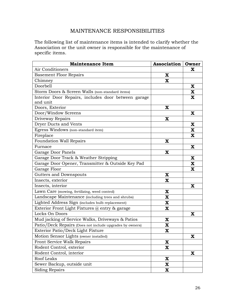### MAINTENANCE RESPONSIBILITIES

The following list of maintenance items is intended to clarify whether the Association or the unit owner is responsible for the maintenance of specific items.

| <b>Maintenance Item</b>                                  | <b>Association</b>      | Owner       |
|----------------------------------------------------------|-------------------------|-------------|
| Air Conditioners                                         |                         | x           |
| <b>Basement Floor Repairs</b>                            | X                       |             |
| Chimney                                                  | X                       |             |
| Doorbell                                                 |                         | X           |
| Storm Doors & Screen Walls (non-standard items)          |                         | X           |
| Interior Door Repairs, includes door between garage      |                         | X           |
| and unit                                                 |                         |             |
| Doors, Exterior                                          | X                       |             |
| Door/Window Screens                                      |                         | X           |
| Driveway Repairs                                         | X                       |             |
| Dryer Ducts and Vents                                    |                         | X           |
| Egress Windows (non-standard item)                       |                         | X           |
| Fireplace                                                |                         | $\mathbf X$ |
| Foundation Wall Repairs                                  | X                       |             |
| Furnace                                                  |                         | X           |
| Garage Door Panels                                       | X                       |             |
| Garage Door Track & Weather Stripping                    |                         | X           |
| Garage Door Opener, Transmitter & Outside Key Pad        |                         | X           |
| Garage Floor                                             |                         | X           |
| <b>Gutters and Downspouts</b>                            | X                       |             |
| Insects, exterior                                        | $\mathbf X$             |             |
| Insects, interior                                        |                         | X           |
| Lawn Care (mowing, fertilizing, weed control)            | X                       |             |
| Landscape Maintenance (including trees and shrubs)       | X                       |             |
| Lighted Address Sign (includes bulb replacement)         | X                       |             |
| Exterior Front Light Fixtures @ entry & garage           | $\overline{\mathbf{X}}$ |             |
| Locks On Doors                                           |                         | X           |
| Mud jacking of Service Walks, Driveways & Patios         | X                       |             |
| Patio/Deck Repairs (Does not include upgrades by owners) | X                       |             |
| Exterior Patio/Deck Light Fixture                        | $\overline{\mathbf{X}}$ |             |
| Motion Sensor Lights (owner installed)                   |                         | X           |
| Front Service Walk Repairs                               | $\mathbf x$             |             |
| Rodent Control, exterior                                 | X                       |             |
| Rodent Control, interior                                 |                         | X           |
| Roof Leaks                                               | $\mathbf x$             |             |
| Sewer Backup, outside unit                               | X                       |             |
| Siding Repairs                                           | X                       |             |